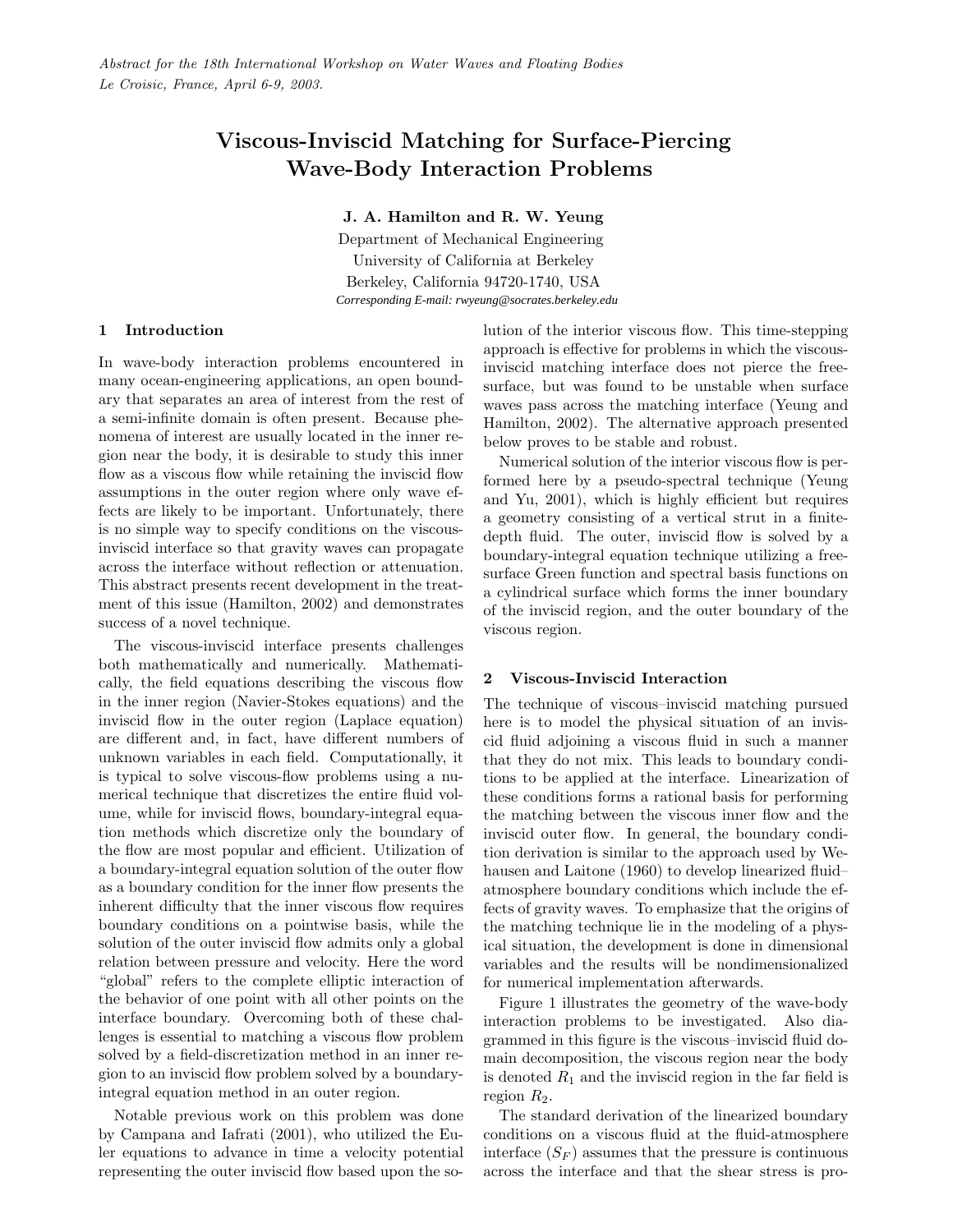# Viscous-Inviscid Matching for Surface-Piercing Wave-Body Interaction Problems

J. A. Hamilton and R. W. Yeung

Department of Mechanical Engineering University of California at Berkeley Berkeley, California 94720-1740, USA *Corresponding E-mail: rwyeung@socrates.berkeley.edu*

### 1 Introduction

In wave-body interaction problems encountered in many ocean-engineering applications, an open boundary that separates an area of interest from the rest of a semi-infinite domain is often present. Because phenomena of interest are usually located in the inner region near the body, it is desirable to study this inner flow as a viscous flow while retaining the inviscid flow assumptions in the outer region where only wave effects are likely to be important. Unfortunately, there is no simple way to specify conditions on the viscousinviscid interface so that gravity waves can propagate across the interface without reflection or attenuation. This abstract presents recent development in the treatment of this issue [\(Hamilton,](#page-2-0) [2002\)](#page-2-0) and demonstrates success of a novel technique.

The viscous-inviscid interface presents challenges both mathematically and numerically. Mathematically, the field equations describing the viscous flow in the inner region (Navier-Stokes equations) and the inviscid flow in the outer region (Laplace equation) are different and, in fact, have different numbers of unknown variables in each field. Computationally, it is typical to solve viscous-flow problems using a numerical technique that discretizes the entire fluid volume, while for inviscid flows, boundary-integral equation methods which discretize only the boundary of the flow are most popular and efficient. Utilization of a boundary-integral equation solution of the outer flow as a boundary condition for the inner flow presents the inherent difficulty that the inner viscous flow requires boundary conditions on a pointwise basis, while the solution of the outer inviscid flow admits only a global relation between pressure and velocity. Here the word "global" refers to the complete elliptic interaction of the behavior of one point with all other points on the interface boundary. Overcoming both of these challenges is essential to matching a viscous flow problem solved by a field-discretization method in an inner region to an inviscid flow problem solved by a boundaryintegral equation method in an outer region.

Notable previous work on this problem was done by [Campana and Iafrati](#page-2-1) [\(2001\)](#page-2-1), who utilized the Euler equations to advance in time a velocity potential representing the outer inviscid flow based upon the solution of the interior viscous flow. This time-stepping approach is effective for problems in which the viscousinviscid matching interface does not pierce the freesurface, but was found to be unstable when surface waves pass across the matching interface [\(Yeung and](#page-2-2) [Hamilton,](#page-2-2) [2002\)](#page-2-2). The alternative approach presented below proves to be stable and robust.

Numerical solution of the interior viscous flow is performed here by a pseudo-spectral technique [\(Yeung](#page-2-3) [and Yu,](#page-2-3) [2001\)](#page-2-3), which is highly efficient but requires a geometry consisting of a vertical strut in a finitedepth fluid. The outer, inviscid flow is solved by a boundary-integral equation technique utilizing a freesurface Green function and spectral basis functions on a cylindrical surface which forms the inner boundary of the inviscid region, and the outer boundary of the viscous region.

#### 2 Viscous-Inviscid Interaction

The technique of viscous–inviscid matching pursued here is to model the physical situation of an inviscid fluid adjoining a viscous fluid in such a manner that they do not mix. This leads to boundary conditions to be applied at the interface. Linearization of these conditions forms a rational basis for performing the matching between the viscous inner flow and the inviscid outer flow. In general, the boundary condition derivation is similar to the approach used by [We](#page-2-4)[hausen and Laitone](#page-2-4) [\(1960\)](#page-2-4) to develop linearized fluid– atmosphere boundary conditions which include the effects of gravity waves. To emphasize that the origins of the matching technique lie in the modeling of a physical situation, the development is done in dimensional variables and the results will be nondimensionalized for numerical implementation afterwards.

Figure [1](#page-1-0) illustrates the geometry of the wave-body interaction problems to be investigated. Also diagrammed in this figure is the viscous–inviscid fluid domain decomposition, the viscous region near the body is denoted  $R_1$  and the inviscid region in the far field is region  $R_2$ .

The standard derivation of the linearized boundary conditions on a viscous fluid at the fluid-atmosphere interface  $(S_F)$  assumes that the pressure is continuous across the interface and that the shear stress is pro-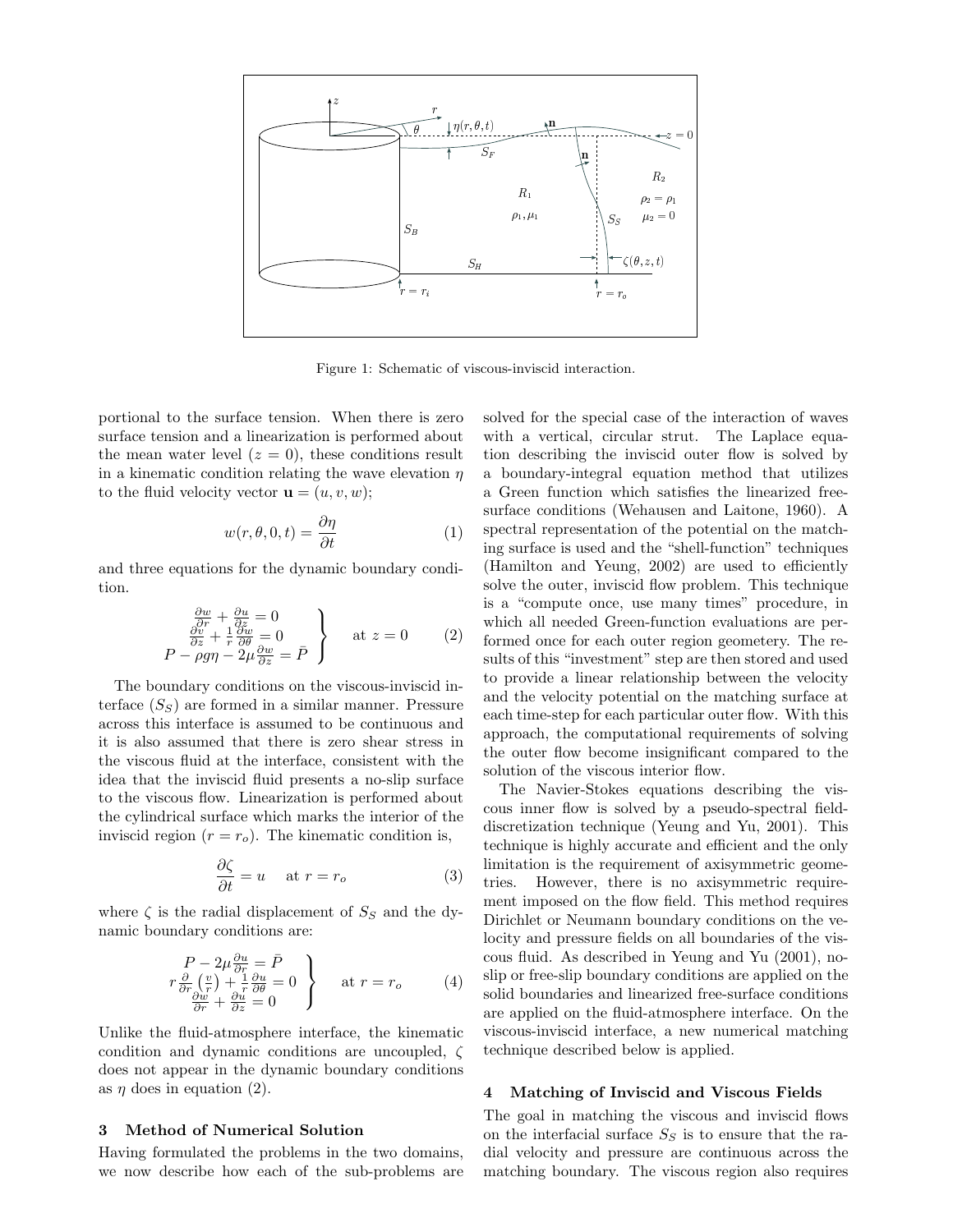

<span id="page-1-0"></span>Figure 1: Schematic of viscous-inviscid interaction.

portional to the surface tension. When there is zero surface tension and a linearization is performed about the mean water level  $(z = 0)$ , these conditions result in a kinematic condition relating the wave elevation  $\eta$ to the fluid velocity vector  $\mathbf{u} = (u, v, w)$ ;

$$
w(r, \theta, 0, t) = \frac{\partial \eta}{\partial t} \tag{1}
$$

<span id="page-1-1"></span>and three equations for the dynamic boundary condition.

$$
\begin{array}{c}\n\frac{\partial w}{\partial r} + \frac{\partial u}{\partial z} = 0 \\
\frac{\partial v}{\partial z} + \frac{1}{r} \frac{\partial w}{\partial \theta} = 0 \\
P - \rho g \eta - 2\mu \frac{\partial w}{\partial z} = \bar{P}\n\end{array}\n\right}\n\text{ at } z = 0 \qquad (2)
$$

The boundary conditions on the viscous-inviscid interface  $(S<sub>S</sub>)$  are formed in a similar manner. Pressure across this interface is assumed to be continuous and it is also assumed that there is zero shear stress in the viscous fluid at the interface, consistent with the idea that the inviscid fluid presents a no-slip surface to the viscous flow. Linearization is performed about the cylindrical surface which marks the interior of the inviscid region  $(r = r_o)$ . The kinematic condition is,

<span id="page-1-2"></span>
$$
\frac{\partial \zeta}{\partial t} = u \quad \text{ at } r = r_o \tag{3}
$$

where  $\zeta$  is the radial displacement of  $S_S$  and the dynamic boundary conditions are:

$$
\begin{array}{c}\nP - 2\mu \frac{\partial u}{\partial r} = \bar{P} \\
r \frac{\partial}{\partial r} \left(\frac{v}{r}\right) + \frac{1}{r} \frac{\partial u}{\partial \theta} = 0 \\
\frac{\partial w}{\partial r} + \frac{\partial u}{\partial z} = 0\n\end{array}\n\bigg\} \quad \text{at } r = r_o \quad (4)
$$

Unlike the fluid-atmosphere interface, the kinematic condition and dynamic conditions are uncoupled, ζ does not appear in the dynamic boundary conditions as  $\eta$  does in equation [\(2\)](#page-1-1).

### 3 Method of Numerical Solution

Having formulated the problems in the two domains, we now describe how each of the sub-problems are solved for the special case of the interaction of waves with a vertical, circular strut. The Laplace equation describing the inviscid outer flow is solved by a boundary-integral equation method that utilizes a Green function which satisfies the linearized freesurface conditions [\(Wehausen and Laitone,](#page-2-4) [1960\)](#page-2-4). A spectral representation of the potential on the matching surface is used and the "shell-function" techniques [\(Hamilton and Yeung,](#page-2-5) [2002\)](#page-2-5) are used to efficiently solve the outer, inviscid flow problem. This technique is a "compute once, use many times" procedure, in which all needed Green-function evaluations are performed once for each outer region geometery. The results of this "investment" step are then stored and used to provide a linear relationship between the velocity and the velocity potential on the matching surface at each time-step for each particular outer flow. With this approach, the computational requirements of solving the outer flow become insignificant compared to the solution of the viscous interior flow.

The Navier-Stokes equations describing the viscous inner flow is solved by a pseudo-spectral fielddiscretization technique [\(Yeung and Yu,](#page-2-3) [2001\)](#page-2-3). This technique is highly accurate and efficient and the only limitation is the requirement of axisymmetric geometries. However, there is no axisymmetric requirement imposed on the flow field. This method requires Dirichlet or Neumann boundary conditions on the velocity and pressure fields on all boundaries of the viscous fluid. As described in [Yeung and Yu](#page-2-3) [\(2001\)](#page-2-3), noslip or free-slip boundary conditions are applied on the solid boundaries and linearized free-surface conditions are applied on the fluid-atmosphere interface. On the viscous-inviscid interface, a new numerical matching technique described below is applied.

#### 4 Matching of Inviscid and Viscous Fields

The goal in matching the viscous and inviscid flows on the interfacial surface  $S<sub>S</sub>$  is to ensure that the radial velocity and pressure are continuous across the matching boundary. The viscous region also requires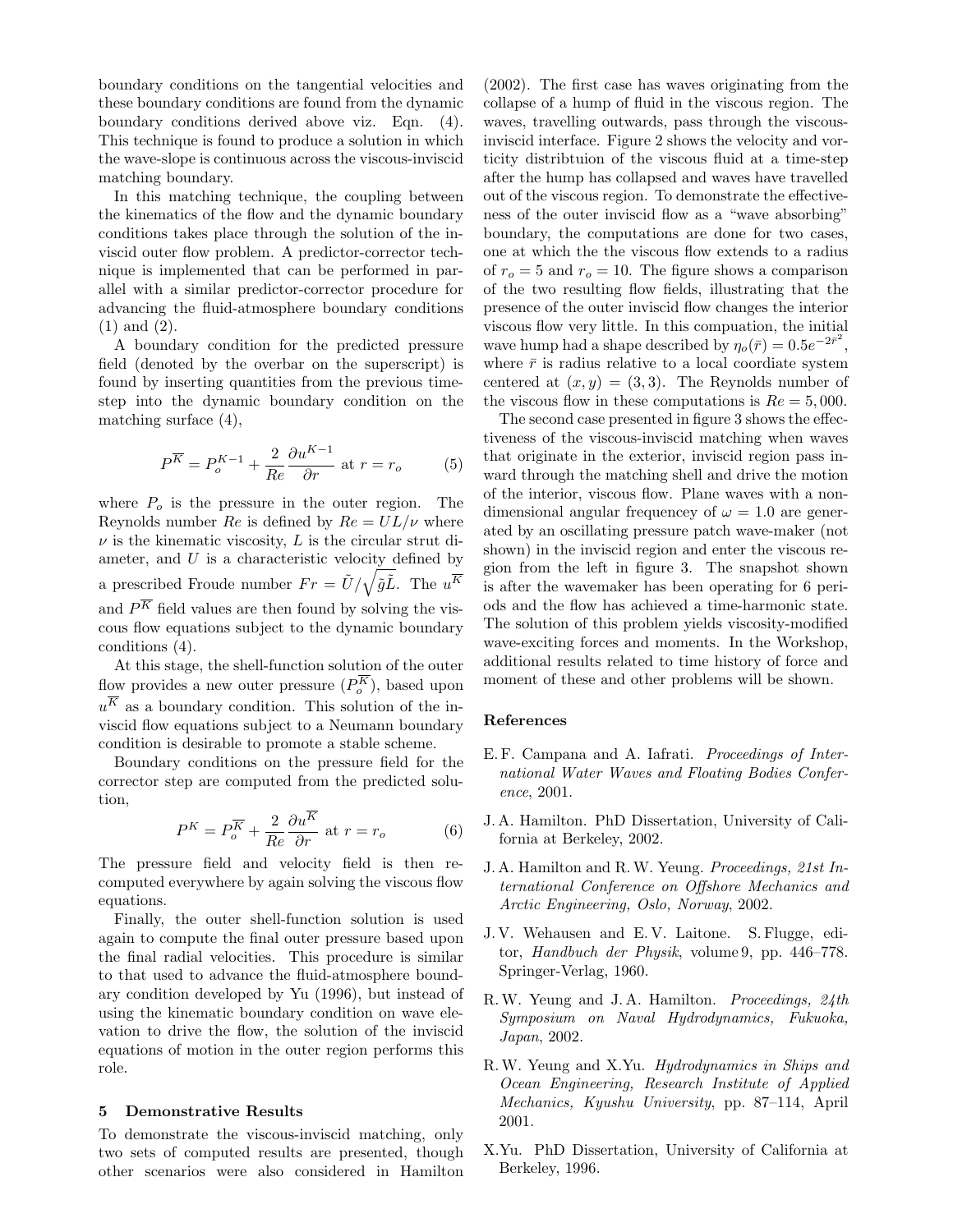boundary conditions on the tangential velocities and these boundary conditions are found from the dynamic boundary conditions derived above viz. Eqn. [\(4\)](#page-1-2). This technique is found to produce a solution in which the wave-slope is continuous across the viscous-inviscid matching boundary.

In this matching technique, the coupling between the kinematics of the flow and the dynamic boundary conditions takes place through the solution of the inviscid outer flow problem. A predictor-corrector technique is implemented that can be performed in parallel with a similar predictor-corrector procedure for advancing the fluid-atmosphere boundary conditions (1) and (2).

A boundary condition for the predicted pressure field (denoted by the overbar on the superscript) is found by inserting quantities from the previous timestep into the dynamic boundary condition on the matching surface [\(4\)](#page-1-2),

$$
P^{\overline{K}} = P_o^{K-1} + \frac{2}{Re} \frac{\partial u^{K-1}}{\partial r} \text{ at } r = r_o \tag{5}
$$

where  $P<sub>o</sub>$  is the pressure in the outer region. The Reynolds number Re is defined by  $Re = UL/\nu$  where  $\nu$  is the kinematic viscosity, L is the circular strut diameter, and  $U$  is a characteristic velocity defined by a prescribed Froude number  $Fr = \tilde{U}/\sqrt{\tilde{g}\tilde{L}}$ . The  $u^{\overline{K}}$ and  $P^{\overline{K}}$  field values are then found by solving the viscous flow equations subject to the dynamic boundary conditions [\(4\)](#page-1-2).

At this stage, the shell-function solution of the outer flow provides a new outer pressure  $(P_o^K)$ , based upon  $u<sup>K</sup>$  as a boundary condition. This solution of the inviscid flow equations subject to a Neumann boundary condition is desirable to promote a stable scheme.

Boundary conditions on the pressure field for the corrector step are computed from the predicted solution,

$$
P^{K} = P_{o}^{\overline{K}} + \frac{2}{Re} \frac{\partial u^{K}}{\partial r} \text{ at } r = r_{o}
$$
 (6)

The pressure field and velocity field is then recomputed everywhere by again solving the viscous flow equations.

Finally, the outer shell-function solution is used again to compute the final outer pressure based upon the final radial velocities. This procedure is similar to that used to advance the fluid-atmosphere boundary condition developed by [Yu](#page-2-6) [\(1996\)](#page-2-6), but instead of using the kinematic boundary condition on wave elevation to drive the flow, the solution of the inviscid equations of motion in the outer region performs this role.

#### 5 Demonstrative Results

To demonstrate the viscous-inviscid matching, only two sets of computed results are presented, though other scenarios were also considered in Hamilton

(2002). The first case has waves originating from the collapse of a hump of fluid in the viscous region. The waves, travelling outwards, pass through the viscousinviscid interface. Figure [2](#page-3-0) shows the velocity and vorticity distribtuion of the viscous fluid at a time-step after the hump has collapsed and waves have travelled out of the viscous region. To demonstrate the effectiveness of the outer inviscid flow as a "wave absorbing" boundary, the computations are done for two cases, one at which the the viscous flow extends to a radius of  $r_o = 5$  and  $r_o = 10$ . The figure shows a comparison of the two resulting flow fields, illustrating that the presence of the outer inviscid flow changes the interior viscous flow very little. In this compuation, the initial wave hump had a shape described by  $\eta_o(\bar{r}) = 0.5e^{-2\bar{r}^2}$ , where  $\bar{r}$  is radius relative to a local coordiate system centered at  $(x, y) = (3, 3)$ . The Reynolds number of the viscous flow in these computations is  $Re = 5,000$ .

The second case presented in figure [3](#page-3-1) shows the effectiveness of the viscous-inviscid matching when waves that originate in the exterior, inviscid region pass inward through the matching shell and drive the motion of the interior, viscous flow. Plane waves with a nondimensional angular frequencey of  $\omega = 1.0$  are generated by an oscillating pressure patch wave-maker (not shown) in the inviscid region and enter the viscous region from the left in figure [3.](#page-3-1) The snapshot shown is after the wavemaker has been operating for 6 periods and the flow has achieved a time-harmonic state. The solution of this problem yields viscosity-modified wave-exciting forces and moments. In the Workshop, additional results related to time history of force and moment of these and other problems will be shown.

#### References

- <span id="page-2-1"></span>E. F. Campana and A. Iafrati. Proceedings of International Water Waves and Floating Bodies Conference, 2001.
- <span id="page-2-0"></span>J. A. Hamilton. PhD Dissertation, University of California at Berkeley, 2002.
- <span id="page-2-5"></span>J. A. Hamilton and R.W. Yeung. Proceedings, 21st International Conference on Offshore Mechanics and Arctic Engineering, Oslo, Norway, 2002.
- <span id="page-2-4"></span>J. V. Wehausen and E. V. Laitone. S. Flugge, editor, Handbuch der Physik, volume 9, pp. 446–778. Springer-Verlag, 1960.
- <span id="page-2-2"></span>R.W. Yeung and J. A. Hamilton. Proceedings, 24th Symposium on Naval Hydrodynamics, Fukuoka, Japan, 2002.
- <span id="page-2-3"></span>R.W. Yeung and X.Yu. Hydrodynamics in Ships and Ocean Engineering, Research Institute of Applied Mechanics, Kyushu University, pp. 87–114, April 2001.
- <span id="page-2-6"></span>X.Yu. PhD Dissertation, University of California at Berkeley, 1996.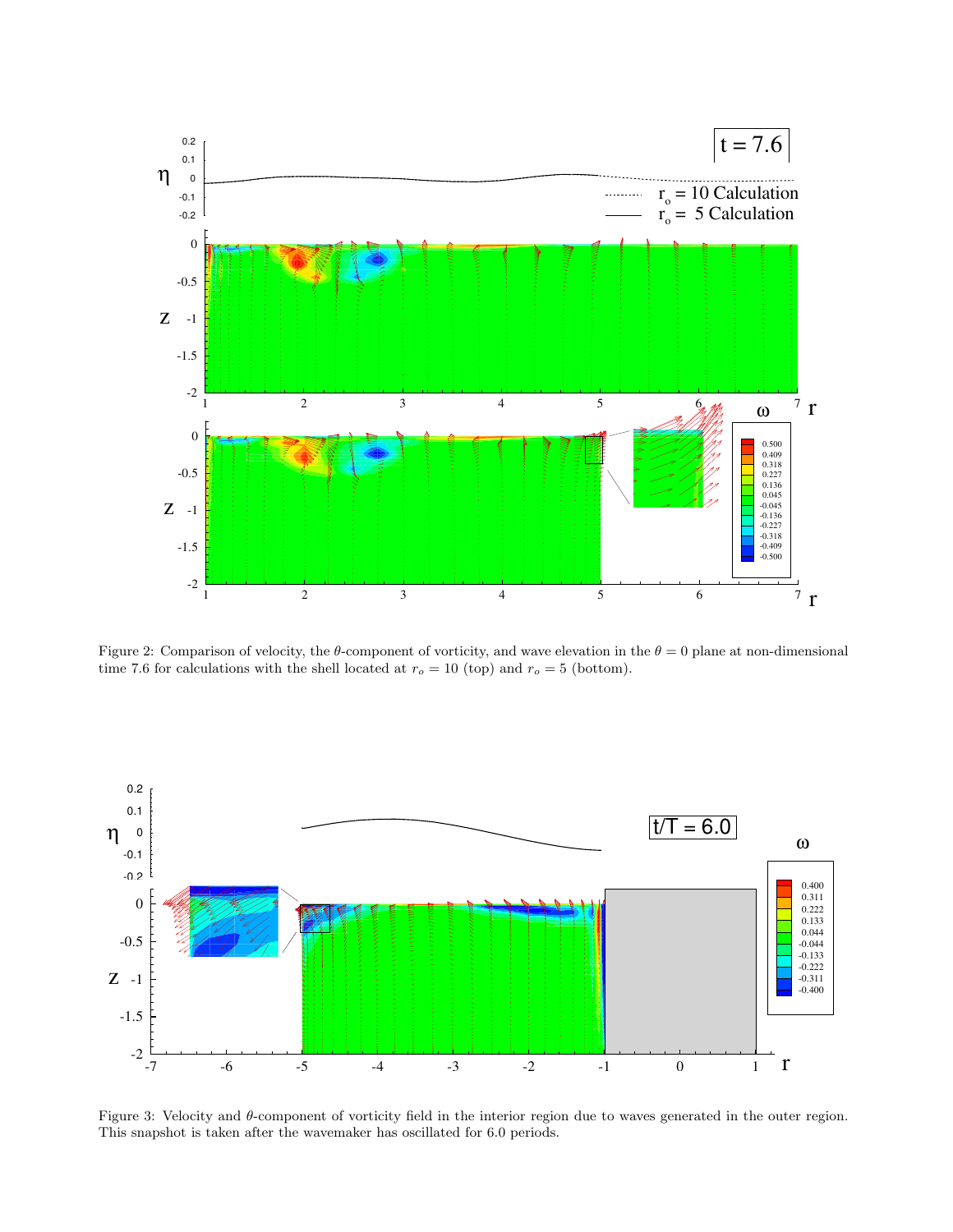

<span id="page-3-0"></span>Figure 2: Comparison of velocity, the  $\theta$ -component of vorticity, and wave elevation in the  $\theta = 0$  plane at non-dimensional time 7.6 for calculations with the shell located at  $r_o = 10$  (top) and  $r_o = 5$  (bottom).



<span id="page-3-1"></span>Figure 3: Velocity and θ-component of vorticity field in the interior region due to waves generated in the outer region. This snapshot is taken after the wavemaker has oscillated for 6.0 periods.